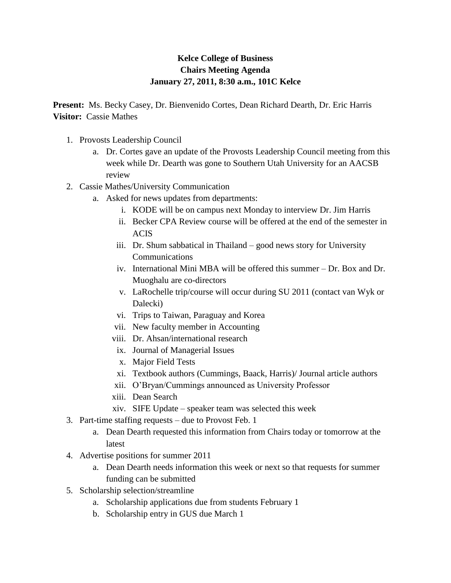## **Kelce College of Business Chairs Meeting Agenda January 27, 2011, 8:30 a.m., 101C Kelce**

**Present:** Ms. Becky Casey, Dr. Bienvenido Cortes, Dean Richard Dearth, Dr. Eric Harris **Visitor:** Cassie Mathes

- 1. Provosts Leadership Council
	- a. Dr. Cortes gave an update of the Provosts Leadership Council meeting from this week while Dr. Dearth was gone to Southern Utah University for an AACSB review
- 2. Cassie Mathes/University Communication
	- a. Asked for news updates from departments:
		- i. KODE will be on campus next Monday to interview Dr. Jim Harris
		- ii. Becker CPA Review course will be offered at the end of the semester in ACIS
		- iii. Dr. Shum sabbatical in Thailand good news story for University **Communications**
		- iv. International Mini MBA will be offered this summer Dr. Box and Dr. Muoghalu are co-directors
		- v. LaRochelle trip/course will occur during SU 2011 (contact van Wyk or Dalecki)
		- vi. Trips to Taiwan, Paraguay and Korea
		- vii. New faculty member in Accounting
		- viii. Dr. Ahsan/international research
		- ix. Journal of Managerial Issues
		- x. Major Field Tests
		- xi. Textbook authors (Cummings, Baack, Harris)/ Journal article authors
		- xii. O'Bryan/Cummings announced as University Professor
		- xiii. Dean Search
		- xiv. SIFE Update speaker team was selected this week
- 3. Part-time staffing requests due to Provost Feb. 1
	- a. Dean Dearth requested this information from Chairs today or tomorrow at the latest
- 4. Advertise positions for summer 2011
	- a. Dean Dearth needs information this week or next so that requests for summer funding can be submitted
- 5. Scholarship selection/streamline
	- a. Scholarship applications due from students February 1
	- b. Scholarship entry in GUS due March 1